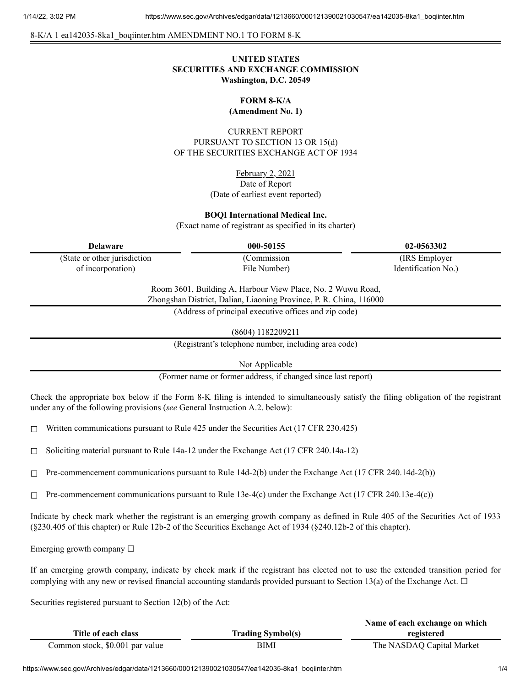8-K/A 1 ea142035-8ka1\_boqiinter.htm AMENDMENT NO.1 TO FORM 8-K

# **UNITED STATES SECURITIES AND EXCHANGE COMMISSION Washington, D.C. 20549**

# **FORM 8-K/A**

**(Amendment No. 1)**

CURRENT REPORT PURSUANT TO SECTION 13 OR 15(d) OF THE SECURITIES EXCHANGE ACT OF 1934

> February 2, 2021 Date of Report (Date of earliest event reported)

#### **BOQI International Medical Inc.**

(Exact name of registrant as specified in its charter)

(State or other jurisdiction of incorporation)

(Commission

**Delaware 000-50155 02-0563302** (IRS Employer Identification No.)

> Room 3601, Building A, Harbour View Place, No. 2 Wuwu Road, Zhongshan District, Dalian, Liaoning Province, P. R. China, 116000

File Number)

(Address of principal executive offices and zip code)

(8604) 1182209211

(Registrant's telephone number, including area code)

Not Applicable

(Former name or former address, if changed since last report)

Check the appropriate box below if the Form 8-K filing is intended to simultaneously satisfy the filing obligation of the registrant under any of the following provisions (*see* General Instruction A.2. below):

 $\Box$  Written communications pursuant to Rule 425 under the Securities Act (17 CFR 230.425)

 $\Box$  Soliciting material pursuant to Rule 14a-12 under the Exchange Act (17 CFR 240.14a-12)

 $\Box$  Pre-commencement communications pursuant to Rule 14d-2(b) under the Exchange Act (17 CFR 240.14d-2(b))

 $\Box$  Pre-commencement communications pursuant to Rule 13e-4(c) under the Exchange Act (17 CFR 240.13e-4(c))

Indicate by check mark whether the registrant is an emerging growth company as defined in Rule 405 of the Securities Act of 1933 (§230.405 of this chapter) or Rule 12b-2 of the Securities Exchange Act of 1934 (§240.12b-2 of this chapter).

Emerging growth company  $\Box$ 

If an emerging growth company, indicate by check mark if the registrant has elected not to use the extended transition period for complying with any new or revised financial accounting standards provided pursuant to Section 13(a) of the Exchange Act.  $\Box$ 

Securities registered pursuant to Section 12(b) of the Act:

|                                 |                          | Name of each exchange on which |
|---------------------------------|--------------------------|--------------------------------|
| Title of each class             | <b>Trading Symbol(s)</b> | registered                     |
| Common stock, \$0.001 par value | BIMI                     | The NASDAQ Capital Market      |

https://www.sec.gov/Archives/edgar/data/1213660/000121390021030547/ea142035-8ka1\_boqiinter.htm 1/4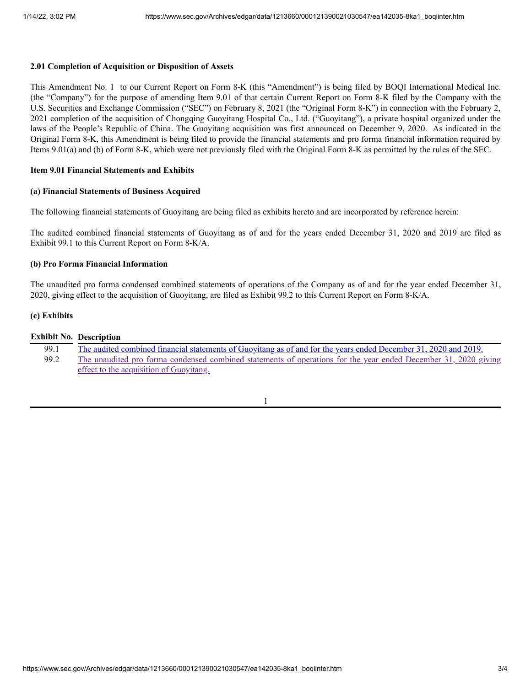## **2.01 Completion of Acquisition or Disposition of Assets**

This Amendment No. 1 to our Current Report on Form 8-K (this "Amendment") is being filed by BOQI International Medical Inc. (the "Company") for the purpose of amending Item 9.01 of that certain Current Report on Form 8-K filed by the Company with the U.S. Securities and Exchange Commission ("SEC") on February 8, 2021 (the "Original Form 8-K") in connection with the February 2, 2021 completion of the acquisition of Chongqing Guoyitang Hospital Co., Ltd. ("Guoyitang"), a private hospital organized under the laws of the People's Republic of China. The Guoyitang acquisition was first announced on December 9, 2020. As indicated in the Original Form 8-K, this Amendment is being filed to provide the financial statements and pro forma financial information required by Items 9.01(a) and (b) of Form 8-K, which were not previously filed with the Original Form 8-K as permitted by the rules of the SEC.

## **Item 9.01 Financial Statements and Exhibits**

## **(a) Financial Statements of Business Acquired**

The following financial statements of Guoyitang are being filed as exhibits hereto and are incorporated by reference herein:

The audited combined financial statements of Guoyitang as of and for the years ended December 31, 2020 and 2019 are filed as Exhibit 99.1 to this Current Report on Form 8-K/A.

## **(b) Pro Forma Financial Information**

The unaudited pro forma condensed combined statements of operations of the Company as of and for the year ended December 31, 2020, giving effect to the acquisition of Guoyitang, are filed as Exhibit 99.2 to this Current Report on Form 8-K/A.

#### **(c) Exhibits**

## **Exhibit No. Description**

| 99.1 | The audited combined financial statements of Guoyitang as of and for the years ended December 31, 2020 and 2019. |
|------|------------------------------------------------------------------------------------------------------------------|
| 99.2 | The unaudited pro forma condensed combined statements of operations for the year ended December 31, 2020 giving  |
|      | effect to the acquisition of Guoyitang.                                                                          |

1